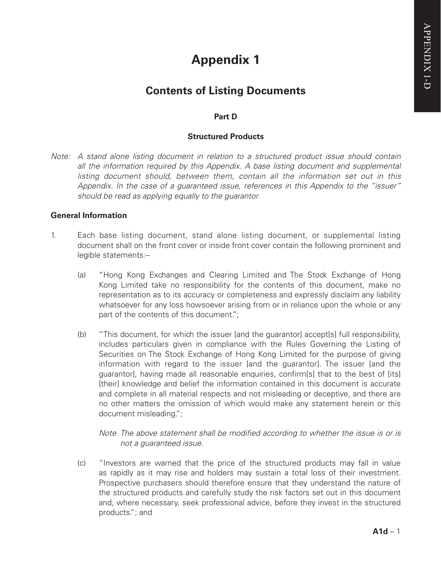# **Appendix 1**

# **Contents of Listing Documents**

# **Part D**

# **Structured Products**

*Note: A stand alone listing document in relation to a structured product issue should contain*  all the information required by this Appendix. A base listing document and supplemental *listing document should, between them, contain all the information set out in this Appendix. In the case of a guaranteed issue, references in this Appendix to the "issuer" should be read as applying equally to the guarantor.*

#### **General Information**

- 1. Each base listing document, stand alone listing document, or supplemental listing document shall on the front cover or inside front cover contain the following prominent and legible statements:–
	- (a) "Hong Kong Exchanges and Clearing Limited and The Stock Exchange of Hong Kong Limited take no responsibility for the contents of this document, make no representation as to its accuracy or completeness and expressly disclaim any liability whatsoever for any loss howsoever arising from or in reliance upon the whole or any part of the contents of this document.":
	- (b) "This document, for which the issuer [and the guarantor] accept[s] full responsibility, includes particulars given in compliance with the Rules Governing the Listing of Securities on The Stock Exchange of Hong Kong Limited for the purpose of giving information with regard to the issuer [and the guarantor]. The issuer [and the guarantor], having made all reasonable enquiries, confirm[s] that to the best of [its] [their] knowledge and belief the information contained in this document is accurate and complete in all material respects and not misleading or deceptive, and there are no other matters the omission of which would make any statement herein or this document misleading.";

*Note The above statement shall be modified according to whether the issue is or is not a guaranteed issue.*

(c) "Investors are warned that the price of the structured products may fall in value as rapidly as it may rise and holders may sustain a total loss of their investment. Prospective purchasers should therefore ensure that they understand the nature of the structured products and carefully study the risk factors set out in this document and, where necessary, seek professional advice, before they invest in the structured products."; and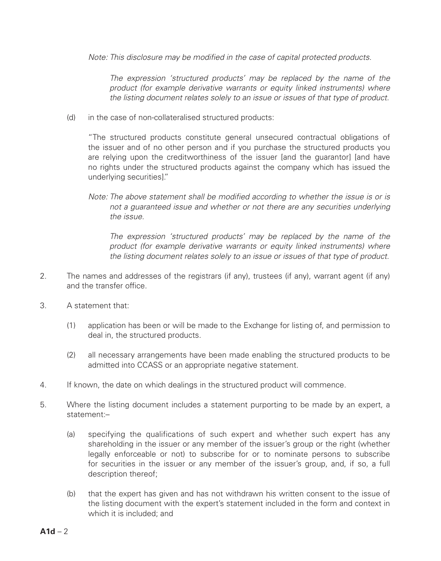*Note: This disclosure may be modified in the case of capital protected products.*

*The expression 'structured products' may be replaced by the name of the product (for example derivative warrants or equity linked instruments) where the listing document relates solely to an issue or issues of that type of product.*

(d) in the case of non-collateralised structured products:

"The structured products constitute general unsecured contractual obligations of the issuer and of no other person and if you purchase the structured products you are relying upon the creditworthiness of the issuer land the quarantorl land have no rights under the structured products against the company which has issued the underlying securities]."

*The expression 'structured products' may be replaced by the name of the product (for example derivative warrants or equity linked instruments) where the listing document relates solely to an issue or issues of that type of product.*

- 2. The names and addresses of the registrars (if any), trustees (if any), warrant agent (if any) and the transfer office.
- 3. A statement that:
	- (1) application has been or will be made to the Exchange for listing of, and permission to deal in, the structured products.
	- (2) all necessary arrangements have been made enabling the structured products to be admitted into CCASS or an appropriate negative statement.
- 4. If known, the date on which dealings in the structured product will commence.
- 5. Where the listing document includes a statement purporting to be made by an expert, a statement:–
	- (a) specifying the qualifications of such expert and whether such expert has any shareholding in the issuer or any member of the issuer's group or the right (whether legally enforceable or not) to subscribe for or to nominate persons to subscribe for securities in the issuer or any member of the issuer's group, and, if so, a full description thereof;
	- (b) that the expert has given and has not withdrawn his written consent to the issue of the listing document with the expert's statement included in the form and context in which it is included; and

*Note: The above statement shall be modified according to whether the issue is or is not a guaranteed issue and whether or not there are any securities underlying the issue.*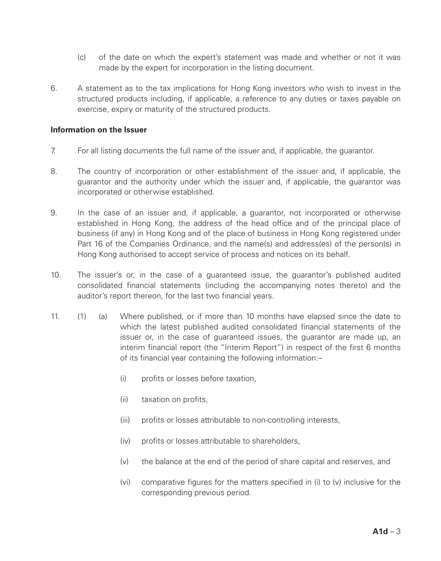- (c) of the date on which the expert's statement was made and whether or not it was made by the expert for incorporation in the listing document.
- 6. A statement as to the tax implications for Hong Kong investors who wish to invest in the structured products including, if applicable, a reference to any duties or taxes payable on exercise, expiry or maturity of the structured products.

#### **Information on the Issuer**

- 7. For all listing documents the full name of the issuer and, if applicable, the guarantor.
- 8. The country of incorporation or other establishment of the issuer and, if applicable, the guarantor and the authority under which the issuer and, if applicable, the guarantor was incorporated or otherwise established.
- 9. In the case of an issuer and, if applicable, a guarantor, not incorporated or otherwise established in Hong Kong, the address of the head office and of the principal place of business (if any) in Hong Kong and of the place of business in Hong Kong registered under Part 16 of the Companies Ordinance, and the name(s) and address(es) of the person(s) in Hong Kong authorised to accept service of process and notices on its behalf.
- 10. The issuer's or, in the case of a guaranteed issue, the guarantor's published audited consolidated financial statements (including the accompanying notes thereto) and the auditor's report thereon, for the last two financial years.
- 11. (1) (a) Where published, or if more than 10 months have elapsed since the date to which the latest published audited consolidated financial statements of the issuer or, in the case of guaranteed issues, the guarantor are made up, an interim financial report (the "Interim Report") in respect of the first 6 months of its financial year containing the following information:–
	- (i) profits or losses before taxation,
	- (ii) taxation on profits,
	- (iii) profits or losses attributable to non-controlling interests,
	- (iv) profits or losses attributable to shareholders,
	- (v) the balance at the end of the period of share capital and reserves, and
	- (vi) comparative figures for the matters specified in (i) to (v) inclusive for the corresponding previous period.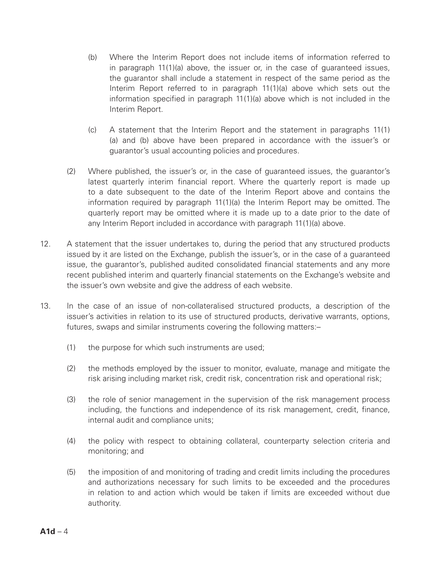- (b) Where the Interim Report does not include items of information referred to in paragraph 11(1)(a) above, the issuer or, in the case of guaranteed issues, the guarantor shall include a statement in respect of the same period as the Interim Report referred to in paragraph 11(1)(a) above which sets out the information specified in paragraph 11(1)(a) above which is not included in the Interim Report.
- (c) A statement that the Interim Report and the statement in paragraphs 11(1) (a) and (b) above have been prepared in accordance with the issuer's or guarantor's usual accounting policies and procedures.
- (2) Where published, the issuer's or, in the case of guaranteed issues, the guarantor's latest quarterly interim financial report. Where the quarterly report is made up to a date subsequent to the date of the Interim Report above and contains the information required by paragraph 11(1)(a) the Interim Report may be omitted. The quarterly report may be omitted where it is made up to a date prior to the date of any Interim Report included in accordance with paragraph 11(1)(a) above.
- 12. A statement that the issuer undertakes to, during the period that any structured products issued by it are listed on the Exchange, publish the issuer's, or in the case of a guaranteed issue, the guarantor's, published audited consolidated financial statements and any more recent published interim and quarterly financial statements on the Exchange's website and the issuer's own website and give the address of each website.
- 13. In the case of an issue of non-collateralised structured products, a description of the issuer's activities in relation to its use of structured products, derivative warrants, options, futures, swaps and similar instruments covering the following matters:–
	- (1) the purpose for which such instruments are used;
	- (2) the methods employed by the issuer to monitor, evaluate, manage and mitigate the risk arising including market risk, credit risk, concentration risk and operational risk;
	- (3) the role of senior management in the supervision of the risk management process including, the functions and independence of its risk management, credit, finance, internal audit and compliance units;
	- (4) the policy with respect to obtaining collateral, counterparty selection criteria and monitoring; and
	- (5) the imposition of and monitoring of trading and credit limits including the procedures and authorizations necessary for such limits to be exceeded and the procedures in relation to and action which would be taken if limits are exceeded without due authority.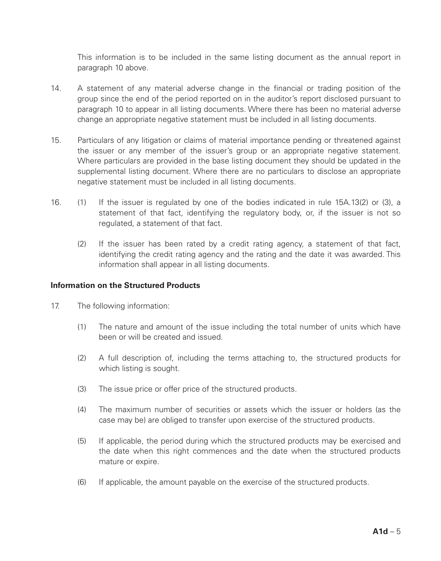This information is to be included in the same listing document as the annual report in paragraph 10 above.

- 14. A statement of any material adverse change in the financial or trading position of the group since the end of the period reported on in the auditor's report disclosed pursuant to paragraph 10 to appear in all listing documents. Where there has been no material adverse change an appropriate negative statement must be included in all listing documents.
- 15. Particulars of any litigation or claims of material importance pending or threatened against the issuer or any member of the issuer's group or an appropriate negative statement. Where particulars are provided in the base listing document they should be updated in the supplemental listing document. Where there are no particulars to disclose an appropriate negative statement must be included in all listing documents.
- 16. (1) If the issuer is regulated by one of the bodies indicated in rule 15A.13(2) or (3), a statement of that fact, identifying the regulatory body, or, if the issuer is not so regulated, a statement of that fact.
	- (2) If the issuer has been rated by a credit rating agency, a statement of that fact, identifying the credit rating agency and the rating and the date it was awarded. This information shall appear in all listing documents.

#### **Information on the Structured Products**

- 17. The following information:
	- (1) The nature and amount of the issue including the total number of units which have been or will be created and issued.
	- (2) A full description of, including the terms attaching to, the structured products for which listing is sought.
	- (3) The issue price or offer price of the structured products.
	- (4) The maximum number of securities or assets which the issuer or holders (as the case may be) are obliged to transfer upon exercise of the structured products.
	- (5) If applicable, the period during which the structured products may be exercised and the date when this right commences and the date when the structured products mature or expire.
	- (6) If applicable, the amount payable on the exercise of the structured products.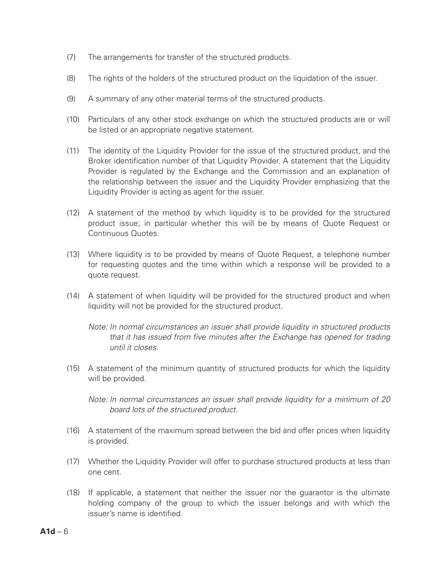- (7) The arrangements for transfer of the structured products.
- (8) The rights of the holders of the structured product on the liquidation of the issuer.
- (9) A summary of any other material terms of the structured products.
- (10) Particulars of any other stock exchange on which the structured products are or will be listed or an appropriate negative statement.
- (11) The identity of the Liquidity Provider for the issue of the structured product, and the Broker identification number of that Liquidity Provider. A statement that the Liquidity Provider is regulated by the Exchange and the Commission and an explanation of the relationship between the issuer and the Liquidity Provider emphasizing that the Liquidity Provider is acting as agent for the issuer.
- (12) A statement of the method by which liquidity is to be provided for the structured product issue; in particular whether this will be by means of Quote Request or Continuous Quotes.
- (13) Where liquidity is to be provided by means of Quote Request, a telephone number for requesting quotes and the time within which a response will be provided to a quote request.
- (14) A statement of when liquidity will be provided for the structured product and when liquidity will not be provided for the structured product.

*Note: In normal circumstances an issuer shall provide liquidity in structured products that it has issued from five minutes after the Exchange has opened for trading until it closes.*

(15) A statement of the minimum quantity of structured products for which the liquidity will be provided.

*Note: In normal circumstances an issuer shall provide liquidity for a minimum of 20 board lots of the structured product.*

- (16) A statement of the maximum spread between the bid and offer prices when liquidity is provided.
- (17) Whether the Liquidity Provider will offer to purchase structured products at less than one cent.
- (18) If applicable, a statement that neither the issuer nor the guarantor is the ultimate holding company of the group to which the issuer belongs and with which the issuer's name is identified.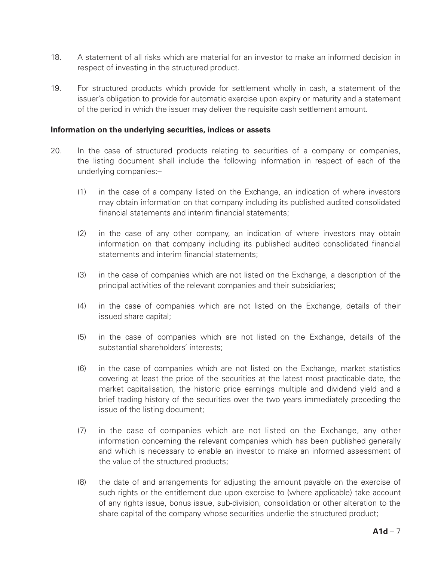- 18. A statement of all risks which are material for an investor to make an informed decision in respect of investing in the structured product.
- 19. For structured products which provide for settlement wholly in cash, a statement of the issuer's obligation to provide for automatic exercise upon expiry or maturity and a statement of the period in which the issuer may deliver the requisite cash settlement amount.

#### **Information on the underlying securities, indices or assets**

- 20. In the case of structured products relating to securities of a company or companies, the listing document shall include the following information in respect of each of the underlying companies:–
	- (1) in the case of a company listed on the Exchange, an indication of where investors may obtain information on that company including its published audited consolidated financial statements and interim financial statements;
	- (2) in the case of any other company, an indication of where investors may obtain information on that company including its published audited consolidated financial statements and interim financial statements;
	- (3) in the case of companies which are not listed on the Exchange, a description of the principal activities of the relevant companies and their subsidiaries;
	- (4) in the case of companies which are not listed on the Exchange, details of their issued share capital;
	- (5) in the case of companies which are not listed on the Exchange, details of the substantial shareholders' interests;
	- (6) in the case of companies which are not listed on the Exchange, market statistics covering at least the price of the securities at the latest most practicable date, the market capitalisation, the historic price earnings multiple and dividend yield and a brief trading history of the securities over the two years immediately preceding the issue of the listing document;
	- (7) in the case of companies which are not listed on the Exchange, any other information concerning the relevant companies which has been published generally and which is necessary to enable an investor to make an informed assessment of the value of the structured products;
	- (8) the date of and arrangements for adjusting the amount payable on the exercise of such rights or the entitlement due upon exercise to (where applicable) take account of any rights issue, bonus issue, sub-division, consolidation or other alteration to the share capital of the company whose securities underlie the structured product;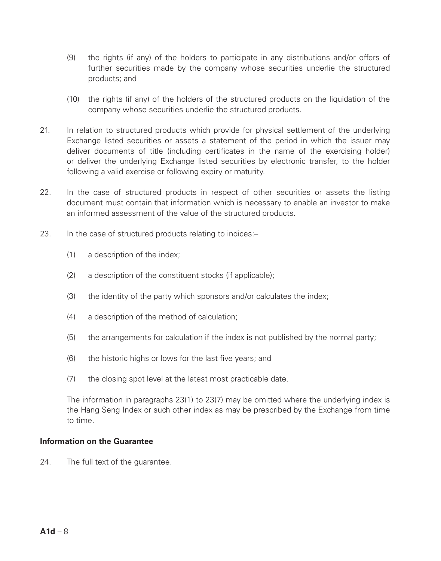- (9) the rights (if any) of the holders to participate in any distributions and/or offers of further securities made by the company whose securities underlie the structured products; and
- (10) the rights (if any) of the holders of the structured products on the liquidation of the company whose securities underlie the structured products.
- 21. In relation to structured products which provide for physical settlement of the underlying Exchange listed securities or assets a statement of the period in which the issuer may deliver documents of title (including certificates in the name of the exercising holder) or deliver the underlying Exchange listed securities by electronic transfer, to the holder following a valid exercise or following expiry or maturity.
- 22. In the case of structured products in respect of other securities or assets the listing document must contain that information which is necessary to enable an investor to make an informed assessment of the value of the structured products.
- 23. In the case of structured products relating to indices:-
	- (1) a description of the index;
	- (2) a description of the constituent stocks (if applicable);
	- (3) the identity of the party which sponsors and/or calculates the index;
	- (4) a description of the method of calculation;
	- (5) the arrangements for calculation if the index is not published by the normal party;
	- (6) the historic highs or lows for the last five years; and
	- (7) the closing spot level at the latest most practicable date.

The information in paragraphs 23(1) to 23(7) may be omitted where the underlying index is the Hang Seng Index or such other index as may be prescribed by the Exchange from time to time.

#### **Information on the Guarantee**

24. The full text of the guarantee.